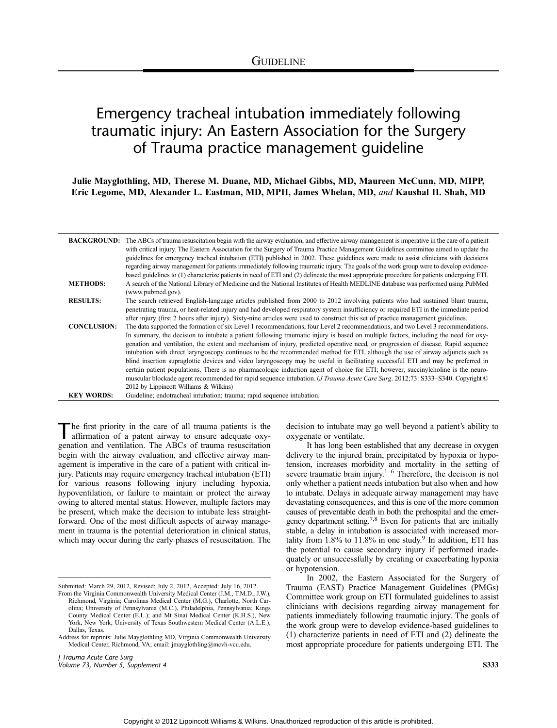# Emergency tracheal intubation immediately following traumatic injury: An Eastern Association for the Surgery of Trauma practice management guideline

Julie Mayglothling, MD, Therese M. Duane, MD, Michael Gibbs, MD, Maureen McCunn, MD, MIPP, Eric Legome, MD, Alexander L. Eastman, MD, MPH, James Whelan, MD, and Kaushal H. Shah, MD

|                    | <b>BACKGROUND:</b> The ABCs of trauma resuscitation begin with the airway evaluation, and effective airway management is imperative in the care of a patient |
|--------------------|--------------------------------------------------------------------------------------------------------------------------------------------------------------|
|                    | with critical injury. The Eastern Association for the Surgery of Trauma Practice Management Guidelines committee aimed to update the                         |
|                    | guidelines for emergency tracheal intubation (ETI) published in 2002. These guidelines were made to assist clinicians with decisions                         |
|                    | regarding airway management for patients immediately following traumatic injury. The goals of the work group were to develop evidence-                       |
|                    | based guidelines to (1) characterize patients in need of ETI and (2) delineate the most appropriate procedure for patients undergoing ETI.                   |
| <b>METHODS:</b>    | A search of the National Library of Medicine and the National Institutes of Health MEDLINE database was performed using PubMed                               |
|                    | (www.pubmed.gov).                                                                                                                                            |
| <b>RESULTS:</b>    | The search retrieved English-language articles published from 2000 to 2012 involving patients who had sustained blunt trauma,                                |
|                    | penetrating trauma, or heat-related injury and had developed respiratory system insufficiency or required ETI in the immediate period                        |
|                    | after injury (first 2 hours after injury). Sixty-nine articles were used to construct this set of practice management guidelines.                            |
| <b>CONCLUSION:</b> | The data supported the formation of six Level 1 recommendations, four Level 2 recommendations, and two Level 3 recommendations.                              |
|                    | In summary, the decision to intubate a patient following traumatic injury is based on multiple factors, including the need for oxy-                          |
|                    | genation and ventilation, the extent and mechanism of injury, predicted operative need, or progression of disease. Rapid sequence                            |
|                    | intubation with direct laryngoscopy continues to be the recommended method for ETI, although the use of airway adjuncts such as                              |
|                    | blind insertion supraglottic devices and video laryngoscopy may be useful in facilitating successful ETI and may be preferred in                             |
|                    | certain patient populations. There is no pharmacologic induction agent of choice for ETI; however, succinylcholine is the neuro-                             |
|                    | muscular blockade agent recommended for rapid sequence intubation. ( <i>J Trauma Acute Care Surg.</i> 2012;73: S333–S340. Copyright ©                        |
|                    | 2012 by Lippincott Williams & Wilkins)                                                                                                                       |
| <b>KEY WORDS:</b>  | Guideline; endotracheal intubation; trauma; rapid sequence intubation.                                                                                       |

The first priority in the care of all trauma patients is the affirmation of a patent airway to ensure adequate oxy-<br>approximation and supplicition. The ADGs of trauma manusitation genation and ventilation. The ABCs of trauma resuscitation begin with the airway evaluation, and effective airway management is imperative in the care of a patient with critical injury. Patients may require emergency tracheal intubation (ETI) for various reasons following injury including hypoxia, hypoventilation, or failure to maintain or protect the airway owing to altered mental status. However, multiple factors may be present, which make the decision to intubate less straightforward. One of the most difficult aspects of airway management in trauma is the potential deterioration in clinical status, which may occur during the early phases of resuscitation. The

J Trauma Acute Care Surg Volume 73, Number 5, Supplement 4 S333

decision to intubate may go well beyond a patient's ability to oxygenate or ventilate.

It has long been established that any decrease in oxygen delivery to the injured brain, precipitated by hypoxia or hypotension, increases morbidity and mortality in the setting of severe traumatic brain injury.<sup>1-6</sup> Therefore, the decision is not only whether a patient needs intubation but also when and how to intubate. Delays in adequate airway management may have devastating consequences, and this is one of the more common causes of preventable death in both the prehospital and the emergency department setting.7,8 Even for patients that are initially stable, a delay in intubation is associated with increased mortality from  $1.8\%$  to  $11.8\%$  in one study.<sup>9</sup> In addition, ETI has the potential to cause secondary injury if performed inadequately or unsuccessfully by creating or exacerbating hypoxia or hypotension.

In 2002, the Eastern Associated for the Surgery of Trauma (EAST) Practice Management Guidelines (PMGs) Committee work group on ETI formulated guidelines to assist clinicians with decisions regarding airway management for patients immediately following traumatic injury. The goals of the work group were to develop evidence-based guidelines to (1) characterize patients in need of ETI and (2) delineate the most appropriate procedure for patients undergoing ETI. The

Submitted: March 29, 2012, Revised: July 2, 2012, Accepted: July 16, 2012.

From the Virginia Commonwealth University Medical Center (J.M., T.M.D., J.W.), Richmond, Virginia; Carolinas Medical Center (M.G.), Charlotte, North Carolina; University of Pennsylvania (M.C.), Philadelphia, Pennsylvania; Kings County Medical Center (E.L.); and Mt Sinai Medical Center (K.H.S.), New York, New York; University of Texas Southwestern Medical Center (A.L.E.), Dallas, Texas.

Address for reprints: Julie Mayglothling MD, Virginia Commonwealth University Medical Center, Richmond, VA; email: jmayglothling@mcvh-vcu.edu.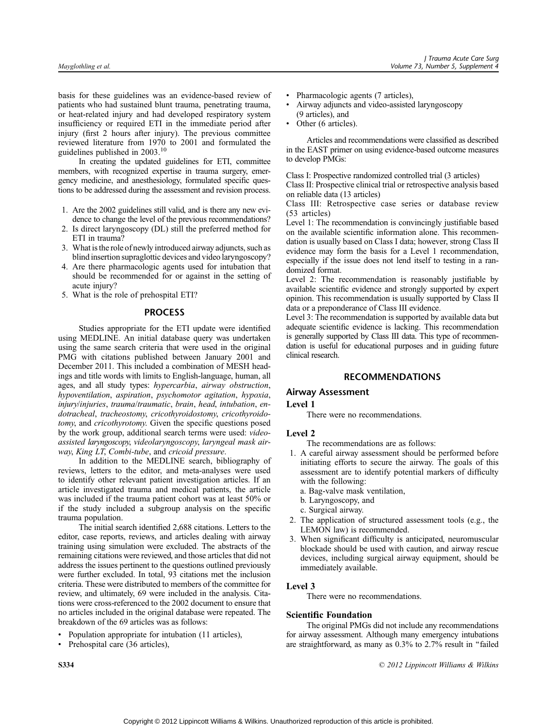reviewed literature from 1970 to 2001 and formulated the guidelines published in 2003.<sup>10</sup> In creating the updated guidelines for ETI, committee

members, with recognized expertise in trauma surgery, emergency medicine, and anesthesiology, formulated specific questions to be addressed during the assessment and revision process.

- 1. Are the 2002 guidelines still valid, and is there any new evidence to change the level of the previous recommendations?
- 2. Is direct laryngoscopy (DL) still the preferred method for ETI in trauma?
- 3. What is the role of newly introduced airway adjuncts, such as blind insertion supraglottic devices and video laryngoscopy?
- 4. Are there pharmacologic agents used for intubation that should be recommended for or against in the setting of acute injury?
- 5. What is the role of prehospital ETI?

#### PROCESS

Studies appropriate for the ETI update were identified using MEDLINE. An initial database query was undertaken using the same search criteria that were used in the original PMG with citations published between January 2001 and December 2011. This included a combination of MESH headings and title words with limits to English-language, human, all ages, and all study types: hypercarbia, airway obstruction, hypoventilation, aspiration, psychomotor agitation, hypoxia, injury/injuries, trauma/traumatic, brain, head, intubation, endotracheal, tracheostomy, cricothyroidostomy, cricothyroidotomy, and cricothyrotomy. Given the specific questions posed by the work group, additional search terms were used: videoassisted laryngoscopy, videolaryngoscopy, laryngeal mask airway, King LT, Combi-tube, and cricoid pressure.

In addition to the MEDLINE search, bibliography of reviews, letters to the editor, and meta-analyses were used to identify other relevant patient investigation articles. If an article investigated trauma and medical patients, the article was included if the trauma patient cohort was at least 50% or if the study included a subgroup analysis on the specific trauma population.

The initial search identified 2,688 citations. Letters to the editor, case reports, reviews, and articles dealing with airway training using simulation were excluded. The abstracts of the remaining citations were reviewed, and those articles that did not address the issues pertinent to the questions outlined previously were further excluded. In total, 93 citations met the inclusion criteria. These were distributed to members of the committee for review, and ultimately, 69 were included in the analysis. Citations were cross-referenced to the 2002 document to ensure that no articles included in the original database were repeated. The breakdown of the 69 articles was as follows:

- Population appropriate for intubation (11 articles),
- Prehospital care (36 articles),
- & Pharmacologic agents (7 articles),
- Airway adjuncts and video-assisted laryngoscopy (9 articles), and
- Other (6 articles).

Articles and recommendations were classified as described in the EAST primer on using evidence-based outcome measures to develop PMGs:

Class I: Prospective randomized controlled trial (3 articles)

Class II: Prospective clinical trial or retrospective analysis based on reliable data (13 articles)

Class III: Retrospective case series or database review (53 articles)

Level 1: The recommendation is convincingly justifiable based on the available scientific information alone. This recommendation is usually based on Class I data; however, strong Class II evidence may form the basis for a Level 1 recommendation, especially if the issue does not lend itself to testing in a randomized format.

Level 2: The recommendation is reasonably justifiable by available scientific evidence and strongly supported by expert opinion. This recommendation is usually supported by Class II data or a preponderance of Class III evidence.

Level 3: The recommendation is supported by available data but adequate scientific evidence is lacking. This recommendation is generally supported by Class III data. This type of recommendation is useful for educational purposes and in guiding future clinical research.

## RECOMMENDATIONS

## Airway Assessment

#### Level 1

There were no recommendations.

## Level 2

The recommendations are as follows:

- 1. A careful airway assessment should be performed before initiating efforts to secure the airway. The goals of this assessment are to identify potential markers of difficulty with the following:
	- a. Bag-valve mask ventilation,
	- b. Laryngoscopy, and
	- c. Surgical airway.
- 2. The application of structured assessment tools (e.g., the LEMON law) is recommended.
- 3. When significant difficulty is anticipated, neuromuscular blockade should be used with caution, and airway rescue devices, including surgical airway equipment, should be immediately available.

## Level 3

There were no recommendations.

#### Scientific Foundation

The original PMGs did not include any recommendations for airway assessment. Although many emergency intubations are straightforward, as many as 0.3% to 2.7% result in ''failed

S334 **2012** Lippincott Williams & Wilkins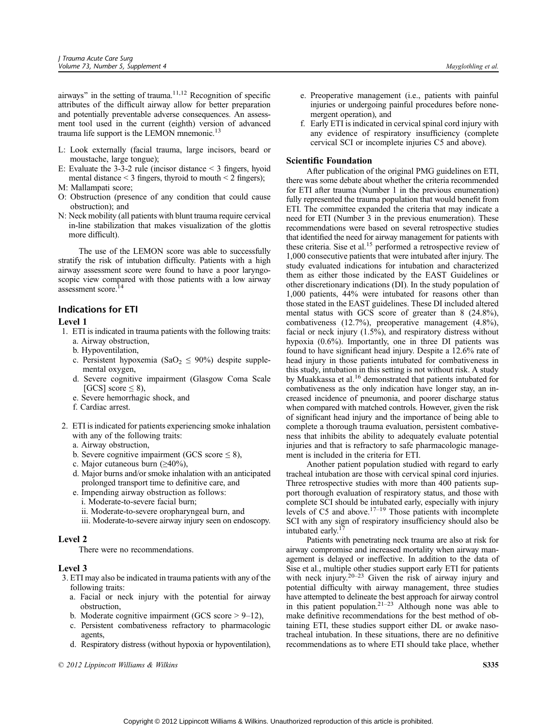airways'' in the setting of trauma.11,12 Recognition of specific attributes of the difficult airway allow for better preparation and potentially preventable adverse consequences. An assessment tool used in the current (eighth) version of advanced trauma life support is the LEMON mnemonic.<sup>13</sup>

- L: Look externally (facial trauma, large incisors, beard or moustache, large tongue);
- E: Evaluate the  $3-3-2$  rule (incisor distance  $\leq 3$  fingers, hyoid mental distance  $\leq$  3 fingers, thyroid to mouth  $\leq$  2 fingers);
- M: Mallampati score;
- O: Obstruction (presence of any condition that could cause obstruction); and
- N: Neck mobility (all patients with blunt trauma require cervical in-line stabilization that makes visualization of the glottis more difficult).

The use of the LEMON score was able to successfully stratify the risk of intubation difficulty. Patients with a high airway assessment score were found to have a poor laryngoscopic view compared with those patients with a low airway assessment score.14

## Indications for ETI

#### Level 1

- 1. ETI is indicated in trauma patients with the following traits: a. Airway obstruction,
	- b. Hypoventilation,
	- c. Persistent hypoxemia (SaO<sub>2</sub>  $\leq$  90%) despite supplemental oxygen,
	- d. Severe cognitive impairment (Glasgow Coma Scale [GCS] score  $\leq 8$ ),
	- e. Severe hemorrhagic shock, and
	- f. Cardiac arrest.
- 2. ETI is indicated for patients experiencing smoke inhalation with any of the following traits:
	- a. Airway obstruction,
	- b. Severe cognitive impairment (GCS score  $\leq 8$ ),
	- c. Major cutaneous burn  $(≥40%),$
	- d. Major burns and/or smoke inhalation with an anticipated prolonged transport time to definitive care, and
	- e. Impending airway obstruction as follows:
		- i. Moderate-to-severe facial burn;
		- ii. Moderate-to-severe oropharyngeal burn, and
		- iii. Moderate-to-severe airway injury seen on endoscopy.

#### Level 2

There were no recommendations.

#### Level 3

- 3. ETI may also be indicated in trauma patients with any of the following traits:
	- a. Facial or neck injury with the potential for airway obstruction,
	- b. Moderate cognitive impairment (GCS score  $> 9-12$ ),
	- c. Persistent combativeness refractory to pharmacologic agents,
	- d. Respiratory distress (without hypoxia or hypoventilation),

 $\odot$  2012 Lippincott Williams & Wilkins  $\ddot{\phantom{2}}$  S335

- e. Preoperative management (i.e., patients with painful injuries or undergoing painful procedures before nonemergent operation), and
- f. Early ETI is indicated in cervical spinal cord injury with any evidence of respiratory insufficiency (complete cervical SCI or incomplete injuries C5 and above).

## Scientific Foundation

After publication of the original PMG guidelines on ETI, there was some debate about whether the criteria recommended for ETI after trauma (Number 1 in the previous enumeration) fully represented the trauma population that would benefit from ETI. The committee expanded the criteria that may indicate a need for ETI (Number 3 in the previous enumeration). These recommendations were based on several retrospective studies that identified the need for airway management for patients with these criteria. Sise et al.<sup>15</sup> performed a retrospective review of 1,000 consecutive patients that were intubated after injury. The study evaluated indications for intubation and characterized them as either those indicated by the EAST Guidelines or other discretionary indications (DI). In the study population of 1,000 patients, 44% were intubated for reasons other than those stated in the EAST guidelines. These DI included altered mental status with GCS score of greater than 8 (24.8%), combativeness (12.7%), preoperative management (4.8%), facial or neck injury (1.5%), and respiratory distress without hypoxia (0.6%). Importantly, one in three DI patients was found to have significant head injury. Despite a 12.6% rate of head injury in those patients intubated for combativeness in this study, intubation in this setting is not without risk. A study by Muakkassa et al.<sup>16</sup> demonstrated that patients intubated for combativeness as the only indication have longer stay, an increased incidence of pneumonia, and poorer discharge status when compared with matched controls. However, given the risk of significant head injury and the importance of being able to complete a thorough trauma evaluation, persistent combativeness that inhibits the ability to adequately evaluate potential injuries and that is refractory to safe pharmacologic management is included in the criteria for ETI.

Another patient population studied with regard to early tracheal intubation are those with cervical spinal cord injuries. Three retrospective studies with more than 400 patients support thorough evaluation of respiratory status, and those with complete SCI should be intubated early, especially with injury levels of C5 and above.<sup>17-19</sup> Those patients with incomplete SCI with any sign of respiratory insufficiency should also be intubated early.<sup>17</sup>

Patients with penetrating neck trauma are also at risk for airway compromise and increased mortality when airway management is delayed or ineffective. In addition to the data of Sise et al., multiple other studies support early ETI for patients with neck injury.<sup>20-23</sup> Given the risk of airway injury and potential difficulty with airway management, three studies have attempted to delineate the best approach for airway control in this patient population.<sup>21-23</sup> Although none was able to make definitive recommendations for the best method of obtaining ETI, these studies support either DL or awake nasotracheal intubation. In these situations, there are no definitive recommendations as to where ETI should take place, whether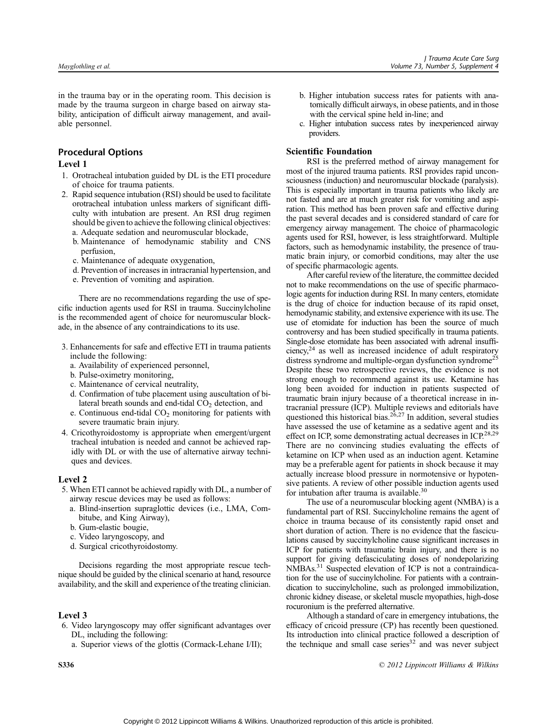in the trauma bay or in the operating room. This decision is made by the trauma surgeon in charge based on airway stability, anticipation of difficult airway management, and available personnel.

## Procedural Options

#### Level 1

- 1. Orotracheal intubation guided by DL is the ETI procedure of choice for trauma patients.
- 2. Rapid sequence intubation (RSI) should be used to facilitate orotracheal intubation unless markers of significant difficulty with intubation are present. An RSI drug regimen should be given to achieve the following clinical objectives:
	- a. Adequate sedation and neuromuscular blockade,
	- b. Maintenance of hemodynamic stability and CNS perfusion,
	- c. Maintenance of adequate oxygenation,
	- d. Prevention of increases in intracranial hypertension, and
	- e. Prevention of vomiting and aspiration.

There are no recommendations regarding the use of specific induction agents used for RSI in trauma. Succinylcholine is the recommended agent of choice for neuromuscular blockade, in the absence of any contraindications to its use.

- 3. Enhancements for safe and effective ETI in trauma patients include the following:
	- a. Availability of experienced personnel,
	- b. Pulse-oximetry monitoring,
	- c. Maintenance of cervical neutrality,
	- d. Confirmation of tube placement using auscultation of bilateral breath sounds and end-tidal  $CO<sub>2</sub>$  detection, and
	- e. Continuous end-tidal  $CO<sub>2</sub>$  monitoring for patients with severe traumatic brain injury.
- 4. Cricothyroidostomy is appropriate when emergent/urgent tracheal intubation is needed and cannot be achieved rapidly with DL or with the use of alternative airway techniques and devices.

## Level 2

- 5. When ETI cannot be achieved rapidly with DL, a number of airway rescue devices may be used as follows:
	- a. Blind-insertion supraglottic devices (i.e., LMA, Combitube, and King Airway),
	- b. Gum-elastic bougie,
	- c. Video laryngoscopy, and
	- d. Surgical cricothyroidostomy.

Decisions regarding the most appropriate rescue technique should be guided by the clinical scenario at hand, resource availability, and the skill and experience of the treating clinician.

#### Level 3

- 6. Video laryngoscopy may offer significant advantages over DL, including the following:
	- a. Superior views of the glottis (Cormack-Lehane I/II);
- b. Higher intubation success rates for patients with anatomically difficult airways, in obese patients, and in those with the cervical spine held in-line; and
- c. Higher intubation success rates by inexperienced airway providers.

#### Scientific Foundation

RSI is the preferred method of airway management for most of the injured trauma patients. RSI provides rapid unconsciousness (induction) and neuromuscular blockade (paralysis). This is especially important in trauma patients who likely are not fasted and are at much greater risk for vomiting and aspiration. This method has been proven safe and effective during the past several decades and is considered standard of care for emergency airway management. The choice of pharmacologic agents used for RSI, however, is less straightforward. Multiple factors, such as hemodynamic instability, the presence of traumatic brain injury, or comorbid conditions, may alter the use of specific pharmacologic agents.

After careful review of the literature, the committee decided not to make recommendations on the use of specific pharmacologic agents for induction during RSI. In many centers, etomidate is the drug of choice for induction because of its rapid onset, hemodynamic stability, and extensive experience with its use. The use of etomidate for induction has been the source of much controversy and has been studied specifically in trauma patients. Single-dose etomidate has been associated with adrenal insufficiency, $2<sup>4</sup>$  as well as increased incidence of adult respiratory distress syndrome and multiple-organ dysfunction syndrome<sup>2</sup> Despite these two retrospective reviews, the evidence is not strong enough to recommend against its use. Ketamine has long been avoided for induction in patients suspected of traumatic brain injury because of a theoretical increase in intracranial pressure (ICP). Multiple reviews and editorials have questioned this historical bias. $26,27$  In addition, several studies have assessed the use of ketamine as a sedative agent and its effect on ICP, some demonstrating actual decreases in ICP.<sup>28,29</sup> There are no convincing studies evaluating the effects of ketamine on ICP when used as an induction agent. Ketamine may be a preferable agent for patients in shock because it may actually increase blood pressure in normotensive or hypotensive patients. A review of other possible induction agents used for intubation after trauma is available.30

The use of a neuromuscular blocking agent (NMBA) is a fundamental part of RSI. Succinylcholine remains the agent of choice in trauma because of its consistently rapid onset and short duration of action. There is no evidence that the fasciculations caused by succinylcholine cause significant increases in ICP for patients with traumatic brain injury, and there is no support for giving defasciculating doses of nondepolarizing NMBAs.31 Suspected elevation of ICP is not a contraindication for the use of succinylcholine. For patients with a contraindication to succinylcholine, such as prolonged immobilization, chronic kidney disease, or skeletal muscle myopathies, high-dose rocuronium is the preferred alternative.

Although a standard of care in emergency intubations, the efficacy of cricoid pressure (CP) has recently been questioned. Its introduction into clinical practice followed a description of the technique and small case series<sup>32</sup> and was never subject

S336 **S336 2012** Lippincott Williams & Wilkins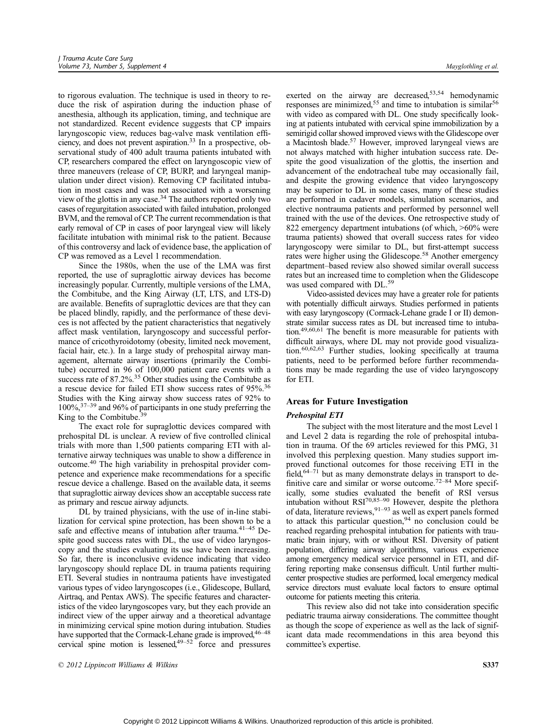to rigorous evaluation. The technique is used in theory to reduce the risk of aspiration during the induction phase of anesthesia, although its application, timing, and technique are not standardized. Recent evidence suggests that CP impairs laryngoscopic view, reduces bag-valve mask ventilation efficiency, and does not prevent aspiration.33 In a prospective, observational study of 400 adult trauma patients intubated with CP, researchers compared the effect on laryngoscopic view of three maneuvers (release of CP, BURP, and laryngeal manipulation under direct vision). Removing CP facilitated intubation in most cases and was not associated with a worsening view of the glottis in any case.34 The authors reported only two cases of regurgitation associated with failed intubation, prolonged BVM, and the removal of CP. The current recommendation is that early removal of CP in cases of poor laryngeal view will likely facilitate intubation with minimal risk to the patient. Because of this controversy and lack of evidence base, the application of CP was removed as a Level 1 recommendation.

Since the 1980s, when the use of the LMA was first reported, the use of supraglottic airway devices has become increasingly popular. Currently, multiple versions of the LMA, the Combitube, and the King Airway (LT, LTS, and LTS-D) are available. Benefits of supraglottic devices are that they can be placed blindly, rapidly, and the performance of these devices is not affected by the patient characteristics that negatively affect mask ventilation, laryngoscopy and successful performance of cricothyroidotomy (obesity, limited neck movement, facial hair, etc.). In a large study of prehospital airway management, alternate airway insertions (primarily the Combitube) occurred in 96 of 100,000 patient care events with a success rate of 87.2%.<sup>35</sup> Other studies using the Combitube as a rescue device for failed ETI show success rates of 95%.<sup>36</sup> Studies with the King airway show success rates of 92% to  $100\%$ ,<sup>37-39</sup> and 96% of participants in one study preferring the King to the Combitube.<sup>39</sup>

The exact role for supraglottic devices compared with prehospital DL is unclear. A review of five controlled clinical trials with more than 1,500 patients comparing ETI with alternative airway techniques was unable to show a difference in outcome.<sup>40</sup> The high variability in prehospital provider competence and experience make recommendations for a specific rescue device a challenge. Based on the available data, it seems that supraglottic airway devices show an acceptable success rate as primary and rescue airway adjuncts.

DL by trained physicians, with the use of in-line stabilization for cervical spine protection, has been shown to be a safe and effective means of intubation after trauma. $41-45$  Despite good success rates with DL, the use of video laryngoscopy and the studies evaluating its use have been increasing. So far, there is inconclusive evidence indicating that video laryngoscopy should replace DL in trauma patients requiring ETI. Several studies in nontrauma patients have investigated various types of video laryngoscopes (i.e., Glidescope, Bullard, Airtraq, and Pentax AWS). The specific features and characteristics of the video laryngoscopes vary, but they each provide an indirect view of the upper airway and a theoretical advantage in minimizing cervical spine motion during intubation. Studies have supported that the Cormack-Lehane grade is improved,  $46-48$ cervical spine motion is lessened,  $49-52$  force and pressures

exerted on the airway are decreased,<sup>53,54</sup> hemodynamic responses are minimized,<sup>55</sup> and time to intubation is similar<sup>56</sup> with video as compared with DL. One study specifically looking at patients intubated with cervical spine immobilization by a semirigid collar showed improved views with the Glidescope over a Macintosh blade.57 However, improved laryngeal views are not always matched with higher intubation success rate. Despite the good visualization of the glottis, the insertion and advancement of the endotracheal tube may occasionally fail, and despite the growing evidence that video laryngoscopy may be superior to DL in some cases, many of these studies are performed in cadaver models, simulation scenarios, and elective nontrauma patients and performed by personnel well trained with the use of the devices. One retrospective study of 822 emergency department intubations (of which,  $>60\%$  were trauma patients) showed that overall success rates for video laryngoscopy were similar to DL, but first-attempt success rates were higher using the Glidescope.<sup>58</sup> Another emergency department-based review also showed similar overall success rates but an increased time to completion when the Glidescope was used compared with DL.<sup>59</sup>

Video-assisted devices may have a greater role for patients with potentially difficult airways. Studies performed in patients with easy laryngoscopy (Cormack-Lehane grade I or II) demonstrate similar success rates as DL but increased time to intubation.49,60,61 The benefit is more measurable for patients with difficult airways, where DL may not provide good visualization.60,62,63 Further studies, looking specifically at trauma patients, need to be performed before further recommendations may be made regarding the use of video laryngoscopy for ETI.

#### Areas for Future Investigation

#### Prehospital ETI

The subject with the most literature and the most Level 1 and Level 2 data is regarding the role of prehospital intubation in trauma. Of the 69 articles reviewed for this PMG, 31 involved this perplexing question. Many studies support improved functional outcomes for those receiving ETI in the field, $64-71$  but as many demonstrate delays in transport to definitive care and similar or worse outcome.<sup>72-84</sup> More specifically, some studies evaluated the benefit of RSI versus intubation without  $RSI^{70,85-90}$  However, despite the plethora of data, literature reviews,  $91-93$  as well as expert panels formed to attack this particular question,  $94$  no conclusion could be reached regarding prehospital intubation for patients with traumatic brain injury, with or without RSI. Diversity of patient population, differing airway algorithms, various experience among emergency medical service personnel in ETI, and differing reporting make consensus difficult. Until further multicenter prospective studies are performed, local emergency medical service directors must evaluate local factors to ensure optimal outcome for patients meeting this criteria.

This review also did not take into consideration specific pediatric trauma airway considerations. The committee thought as though the scope of experience as well as the lack of significant data made recommendations in this area beyond this committee's expertise.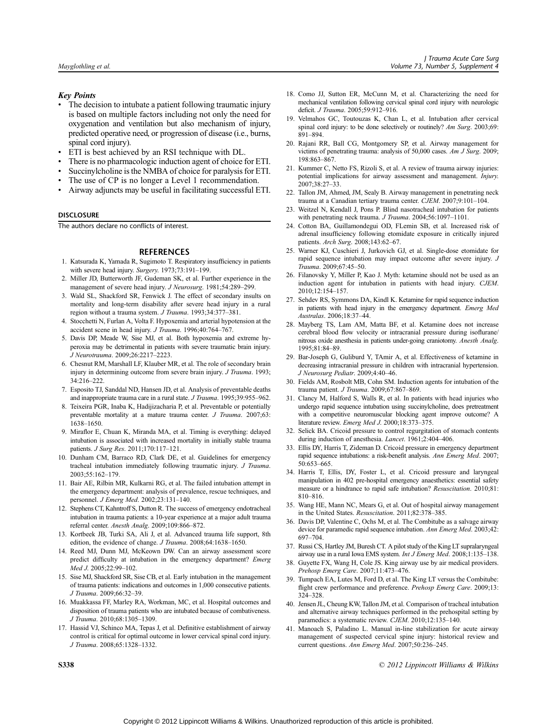## Key Points

- The decision to intubate a patient following traumatic injury is based on multiple factors including not only the need for oxygenation and ventilation but also mechanism of injury, predicted operative need, or progression of disease (i.e., burns, spinal cord injury).
- ETI is best achieved by an RSI technique with DL.
- There is no pharmacologic induction agent of choice for ETI.
- Succinylcholine is the NMBA of choice for paralysis for ETI.
- The use of CP is no longer a Level 1 recommendation.
- & Airway adjuncts may be useful in facilitating successful ETI.

#### **DISCLOSURE**

The authors declare no conflicts of interest.

#### **REFERENCES**

- 1. Katsurada K, Yamada R, Sugimoto T. Respiratory insufficiency in patients with severe head injury. Surgery.  $1973:73:191-199$ .
- 2. Miller JD, Butterworth JF, Gudeman SK, et al. Further experience in the management of severe head injury. *J Neurosurg*. 1981;54:289-299.
- 3. Wald SL, Shackford SR, Fenwick J. The effect of secondary insults on mortality and long-term disability after severe head injury in a rural region without a trauma system. J Trauma. 1993;34:377-381.
- 4. Stocchetti N, Furlan A, Volta F. Hypoxemia and arterial hypotension at the accident scene in head injury. J Trauma. 1996;40:764-767.
- 5. Davis DP, Meade W, Sise MJ, et al. Both hypoxemia and extreme hyperoxia may be detrimental in patients with severe traumatic brain injury. J Neurotrauma. 2009:26:2217-2223.
- 6. Chesnut RM, Marshall LF, Klauber MR, et al. The role of secondary brain injury in determining outcome from severe brain injury. *J Trauma*. 1993; 34:216-222.
- 7. Esposito TJ, Sanddal ND, Hansen JD, et al. Analysis of preventable deaths and inappropriate trauma care in a rural state.  $J$  Trauma. 1995;39:955-962.
- 8. Teixeira PGR, Inaba K, Hadijizacharia P, et al. Preventable or potentially preventable mortality at a mature trauma center. *J Trauma*. 2007;63: 1638-1650.
- 9. Miraflor E, Chuan K, Miranda MA, et al. Timing is everything: delayed intubation is associated with increased mortality in initially stable trauma patients. J Surg Res. 2011;170:117-121.
- 10. Dunham CM, Barraco RD, Clark DE, et al. Guidelines for emergency tracheal intubation immediately following traumatic injury. J Trauma. 2003:55:162-179.
- 11. Bair AE, Rilbin MR, Kulkarni RG, et al. The failed intubation attempt in the emergency department: analysis of prevalence, rescue techniques, and personnel. J Emerg Med. 2002;23:131-140.
- 12. Stephens CT, Kahntroff S, Dutton R. The success of emergency endotracheal intubation in trauma patients: a 10-year experience at a major adult trauma referral center. Anesth Analg. 2009;109:866-872.
- 13. Kortbeek JB, Turki SA, Ali J, et al. Advanced trauma life support, 8th edition, the evidence of change. J Trauma.  $2008;64:1638-1650$ .
- 14. Reed MJ, Dunn MJ, McKeown DW. Can an airway assessment score predict difficulty at intubation in the emergency department? Emerg Med J. 2005;22:99-102.
- 15. Sise MJ, Shackford SR, Sise CB, et al. Early intubation in the management of trauma patients: indications and outcomes in 1,000 consecutive patients. J Trauma. 2009;66:32-39.
- 16. Muakkassa FF, Marley RA, Workman, MC, et al. Hospital outcomes and disposition of trauma patients who are intubated because of combativeness. J Trauma. 2010;68:1305-1309.
- 17. Hassid VJ, Schinco MA, Tepas J, et al. Definitive establishment of airway control is critical for optimal outcome in lower cervical spinal cord injury. J Trauma. 2008;65:1328-1332.
- 18. Como JJ, Sutton ER, McCunn M, et al. Characterizing the need for mechanical ventilation following cervical spinal cord injury with neurologic deficit. J Trauma. 2005;59:912-916.
- 19. Velmahos GC, Toutouzas K, Chan L, et al. Intubation after cervical spinal cord injury: to be done selectively or routinely? Am Surg. 2003;69: 891-894
- 20. Rajani RR, Ball CG, Montgomery SP, et al. Airway management for victims of penetrating trauma: analysis of 50,000 cases. Am J Surg. 2009; 198:863-867.
- 21. Kummer C, Netto FS, Rizoli S, et al. A review of trauma airway injuries: potential implications for airway assessment and management. Injury. 2007:38:27-33.
- 22. Tallon JM, Ahmed, JM, Sealy B. Airway management in penetrating neck trauma at a Canadian tertiary trauma center. CJEM. 2007;9:101-104.
- 23. Weitzel N, Kendall J, Pons P. Blind nasotracheal intubation for patients with penetrating neck trauma. J Trauma. 2004;56:1097-1101.
- 24. Cotton BA, Guillamondegui OD, FLemin SB, et al. Increased risk of adrenal insufficiency following etomidate exposure in critically injured patients. Arch Surg. 2008;143:62-67.
- 25. Warner KJ, Cuschieri J, Jurkovich GJ, et al. Single-dose etomidate for rapid sequence intubation may impact outcome after severe injury. J Trauma. 2009;67:45-50.
- 26. Filanovsky Y, Miller P, Kao J. Myth: ketamine should not be used as an induction agent for intubation in patients with head injury. CJEM. 2010:12:154-157.
- 27. Sehdev RS, Symmons DA, Kindl K. Ketamine for rapid sequence induction in patients with head injury in the emergency department. Emerg Med Australas. 2006;18:37-44.
- 28. Mayberg TS, Lam AM, Matta BF, et al. Ketamine does not increase cerebral blood flow velocity or intracranial pressure during isoflurane/ nitrous oxide anesthesia in patients under-going craniotomy. Anesth Analg. 1995:81:84-89.
- 29. Bar-Joseph G, Guliburd Y, TAmir A, et al. Effectiveness of ketamine in decreasing intracranial pressure in children with intracranial hypertension. J Neurosurg Pediatr. 2009;4:40-46.
- 30. Fields AM, Rosbolt MB, Cohn SM. Induction agents for intubation of the trauma patient. J Trauma. 2009;67:867-869.
- 31. Clancy M, Halford S, Walls R, et al. In patients with head injuries who undergo rapid sequence intubation using succinylcholine, does pretreatment with a competitive neuromuscular blocking agent improve outcome? A literature review. Emerg Med J. 2000;18:373-375.
- 32. Selick BA. Cricoid pressure to control regurgitation of stomach contents during induction of anesthesia. Lancet. 1961;2:404-406.
- 33. Ellis DY, Harris T, Zideman D. Cricoid pressure in emergency department rapid sequence intubations: a risk-benefit analysis. Ann Emerg Med. 2007; 50:653-665.
- 34. Harris T, Ellis, DY, Foster L, et al. Cricoid pressure and laryngeal manipulation in 402 pre-hospital emergency anaesthetics: essential safety measure or a hindrance to rapid safe intubation? Resuscitation. 2010;81: 810-816.
- 35. Wang HE, Mann NC, Mears G, et al. Out of hospital airway management in the United States. Resuscitation.  $2011:82:378-385$ .
- 36. Davis DP, Valentine C, Ochs M, et al. The Combitube as a salvage airway device for paramedic rapid sequence intubation. Ann Emerg Med. 2003;42: 697-704
- 37. Russi CS, Hartley JM, Buresh CT. A pilot study of the King LT supralaryngeal airway use in a rural Iowa EMS system. Int J Emerg Med. 2008;1:135-138.
- 38. Guyette FX, Wang H, Cole JS. King airway use by air medical providers. Prehosp Emerg Care. 2007:11:473-476.
- 39. Tumpach EA, Lutes M, Ford D, et al. The King LT versus the Combitube: flight crew performance and preference. Prehosp Emerg Care. 2009;13: 324-328
- 40. Jensen JL, Cheung KW, Tallon JM, et al. Comparison of tracheal intubation and alternative airway techniques performed in the prehospital setting by paramedics: a systematic review. CJEM. 2010;12:135-140.
- 41. Manoach S, Paladino L. Manual in-line stabilization for acute airway management of suspected cervical spine injury: historical review and current questions. Ann Emerg Med. 2007;50:236-245.

S338 **S338 2012** Lippincott Williams & Wilkins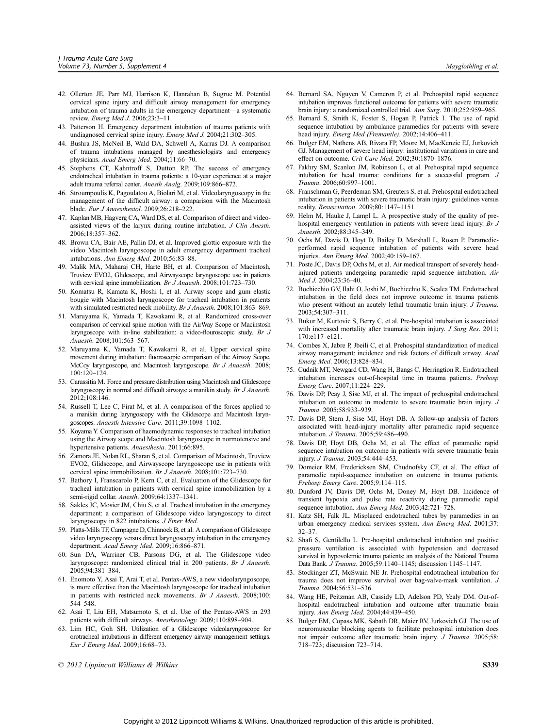- 42. Ollerton JE, Parr MJ, Harrison K, Hanrahan B, Sugrue M. Potential cervical spine injury and difficult airway management for emergency intubation of trauma adults in the emergency department-a systematic review. Emerg Med J. 2006;23:3-11.
- 43. Patterson H. Emergency department intubation of trauma patients with undiagnosed cervical spine injury. Emerg Med J. 2004;21:302-305.
- 44. Bushra JS, McNeil B, Wald DA, Schwell A, Karras DJ. A comparison of trauma intubations managed by anesthesiologists and emergency physicians. Acad Emerg Med. 2004;11:66-70.
- 45. Stephens CT, Kahntroff S, Dutton RP. The success of emergency endotracheal intubation in trauma patients: a 10-year experience at a major adult trauma referral center. Anesth Analg. 2009;109:866-872.
- 46. Stroumpoulis K, Pagoulatou A, Biolari M, et al. Videolaryngoscopy in the management of the difficult airway: a comparison with the Macintosh blade. Eur J Anaesthesiol.  $2009;26:218-222$ .
- 47. Kaplan MB, Hagverg CA, Ward DS, et al. Comparison of direct and videoassisted views of the larynx during routine intubation. J Clin Anesth. 2006:18:357-362.
- 48. Brown CA, Bair AE, Pallin DJ, et al. Improved glottic exposure with the video Macintosh laryngoscope in adult emergency department tracheal intubations. Ann Emerg Med. 2010;56:83-88.
- 49. Malik MA, Maharaj CH, Harte BH, et al. Comparison of Macintosh, Truview EVO2, Glidescope, and Airwayscope laryngoscope use in patients with cervical spine immobilization. Br J Anaesth.  $2008;101:723-730$ .
- 50. Komatsu R, Kamata K, Hoshi I, et al. Airway scope and gum elastic bougie with Macintosh laryngoscope for tracheal intubation in patients with simulated restricted neck mobility. Br J Anaesth. 2008;101:863-869.
- 51. Maruyama K, Yamada T, Kawakami R, et al. Randomized cross-over comparison of cervical spine motion with the AirWay Scope or Macinstosh laryngoscope with in-line stabilization: a video-flouroscopic study. Br J Anaesth. 2008:101:563-567.
- 52. Maruyama K, Yamada T, Kawakami R, et al. Upper cervical spine movement during intubation: fluoroscopic comparison of the Airway Scope, McCoy laryngoscope, and Macintosh laryngoscope. Br J Anaesth. 2008; 100:120-124
- 53. Carassitia M. Force and pressure distribution using Macintosh and Glidescope laryngoscopy in normal and difficult airways: a manikin study. Br J Anaesth. 2012;108:146.
- 54. Russell T, Lee C, Firat M, et al. A comparison of the forces applied to a manikin during laryngoscopy with the Glidescope and Macintosh laryngoscopes. Anaesth Intensive Care. 2011;39:1098-1102.
- 55. Koyama Y. Comparison of haemodynamic responses to tracheal intubation using the Airway scope and Macintosh laryngoscope in normotensive and hypertensive patients. Anaesthesia. 2011;66:895.
- 56. Zamora JE, Nolan RL, Sharan S, et al. Comparison of Macintosh, Truview EVO2, Glidsceope, and Airwayscope laryngoscope use in patients with cervical spine immobilization. Br J Anaesth. 2008;101:723-730.
- 57. Bathory I, Franscarolo P, Kern C, et al. Evaluation of the Glidescope for tracheal intubation in patients with cervical spine immobilization by a semi-rigid collar. Anesth. 2009;64:1337-1341.
- 58. Sakles JC, Mosier JM, Chiu S, et al. Tracheal intubation in the emergency department: a comparison of Glidescope video laryngoscopy to direct laryngoscopy in 822 intubations. J Emer Med.
- 59. Platts-Mills TF, Campagne D, Chinnock B, et al. A comparison of Glidescope video laryngoscopy versus direct laryngoscopy intubation in the emergency department. Acad Emerg Med. 2009;16:866-871.
- 60. Sun DA, Warriner CB, Parsons DG, et al. The Glidescope video laryngoscope: randomized clinical trial in 200 patients. Br J Anaesth. 2005:94:381-384.
- 61. Enomoto Y, Asai T, Arai T, et al. Pentax-AWS, a new videolaryngoscope, is more effective than the Macintosh laryngoscope for tracheal intubation in patients with restricted neck movements. Br J Anaesth. 2008;100: 544-548.
- 62. Asai T, Liu EH, Matsumoto S, et al. Use of the Pentax-AWS in 293 patients with difficult airways. Anesthesiology. 2009;110:898-904.
- 63. Lim HC, Goh SH. Utilization of a Glidescope videolaryngoscope for orotracheal intubations in different emergency airway management settings. Eur J Emerg Med. 2009;16:68-73.
- 64. Bernard SA, Nguyen V, Cameron P, et al. Prehospital rapid sequence intubation improves functional outcome for patients with severe traumatic brain injury: a randomized controlled trial. Ann Surg.  $2010:252:959-965$ .
- 65. Bernard S, Smith K, Foster S, Hogan P, Patrick I. The use of rapid sequence intubation by ambulance paramedics for patients with severe head injury. Emerg Med (Fremantle). 2002;14:406-411.
- 66. Bulger EM, Nathens AB, Rivara FP, Moore M, MacKenzie EJ, Jurkovich GJ. Management of severe head injury: institutional variations in care and effect on outcome. Crit Care Med. 2002;30:1870-1876.
- 67. Fakhry SM, Scanlon JM, Robinson L, et al. Prehospital rapid sequence intubation for head trauma: conditions for a successful program. J Trauma. 2006:60:997-1001.
- 68. Franschman G, Peerdeman SM, Greuters S, et al. Prehospital endotracheal intubation in patients with severe traumatic brain injury: guidelines versus reality. Resuscitation. 2009;80:1147-1151.
- 69. Helm M, Hauke J, Lampl L. A prospective study of the quality of prehospital emergency ventilation in patients with severe head injury. Br J Anaesth. 2002;88:345-349.
- 70. Ochs M, Davis D, Hoyt D, Bailey D, Marshall L, Rosen P. Paramedicperformed rapid sequence intubation of patients with severe head injuries. Ann Emerg Med. 2002;40:159-167.
- 71. Poste JC, Davis DP, Ochs M, et al. Air medical transport of severely headinjured patients undergoing paramedic rapid sequence intubation. Air Med J. 2004:23:36-40.
- 72. Bochicchio GV, Ilahi O, Joshi M, Bochicchio K, Scalea TM. Endotracheal intubation in the field does not improve outcome in trauma patients who present without an acutely lethal traumatic brain injury. J Trauma. 2003:54:307-311.
- 73. Bukur M, Kurtovic S, Berry C, et al. Pre-hospital intubation is associated with increased mortality after traumatic brain injury. *J Surg Res.* 2011; 170:e117-e121.
- 74. Combes X, Jabre P, Jbeili C, et al. Prehospital standardization of medical airway management: incidence and risk factors of difficult airway. Acad Emerg Med. 2006;13:828-834.
- 75. Cudnik MT, Newgard CD, Wang H, Bangs C, Herringtion R. Endotracheal intubation increases out-of-hospital time in trauma patients. Prehosp Emerg Care. 2007;11:224-229.
- 76. Davis DP, Peay J, Sise MJ, et al. The impact of prehospital endotracheal intubation on outcome in moderate to severe traumatic brain injury. J Trauma. 2005:58:933-939.
- 77. Davis DP, Stern J, Sise MJ, Hoyt DB. A follow-up analysis of factors associated with head-injury mortality after paramedic rapid sequence intubation. *J Trauma*. 2005;59:486-490.
- 78. Davis DP, Hoyt DB, Ochs M, et al. The effect of paramedic rapid sequence intubation on outcome in patients with severe traumatic brain injury. J Trauma. 2003;54:444-453.
- 79. Domeier RM, Fredericksen SM, Chudnofsky CF, et al. The effect of paramedic rapid-sequence intubation on outcome in trauma patients. Prehosp Emerg Care. 2005;9:114-115.
- 80. Dunford JV, Davis DP, Ochs M, Doney M, Hoyt DB. Incidence of transient hypoxia and pulse rate reactivity during paramedic rapid sequence intubation. Ann Emerg Med. 2003;42:721-728.
- 81. Katz SH, Falk JL. Misplaced endotracheal tubes by paramedics in an urban emergency medical services system. Ann Emerg Med. 2001;37:  $32 - 37$ .
- 82. Shafi S, Gentilello L. Pre-hospital endotracheal intubation and positive pressure ventilation is associated with hypotension and decreased survival in hypovolemic trauma patients: an analysis of the National Trauma Data Bank. *J Trauma.* 2005;59:1140-1145; discussion 1145-1147.
- 83. Stockinger ZT, McSwain NE Jr. Prehospital endotracheal intubation for trauma does not improve survival over bag-valve-mask ventilation. J Trauma. 2004;56:531-536.
- 84. Wang HE, Peitzman AB, Cassidy LD, Adelson PD, Yealy DM. Out-ofhospital endotracheal intubation and outcome after traumatic brain injury. Ann Emerg Med. 2004;44:439-450.
- 85. Bulger EM, Copass MK, Sabath DR, Maier RV, Jurkovich GJ. The use of neuromuscular blocking agents to facilitate prehospital intubation does not impair outcome after traumatic brain injury. J Trauma. 2005;58: 718-723; discussion 723-714.
- $\odot$  2012 Lippincott Williams & Wilkins S339